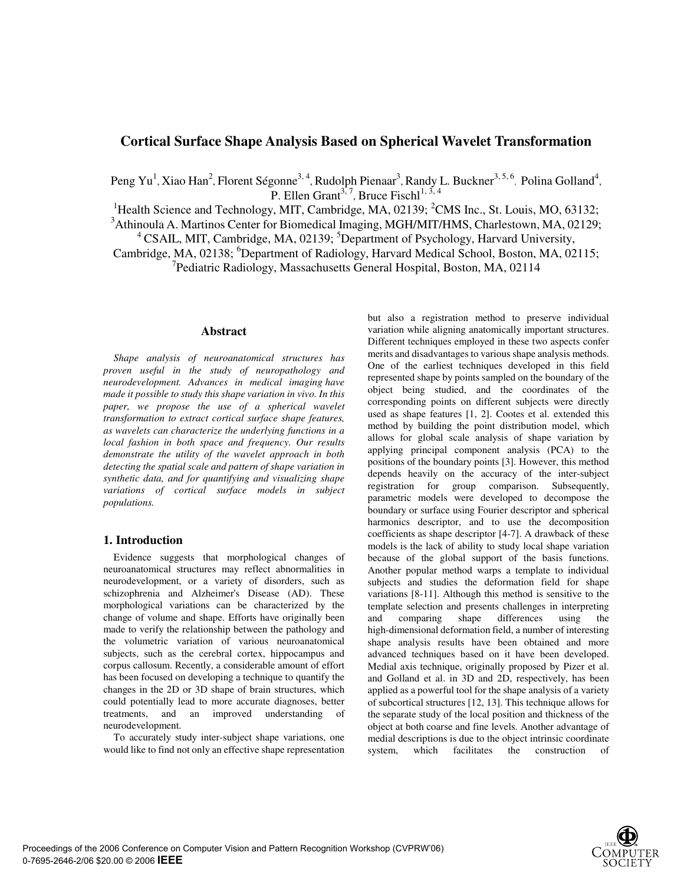# **Cortical Surface Shape Analysis Based on Spherical Wavelet Transformation**

Peng Yu<sup>1</sup>, Xiao Han<sup>2</sup>, Florent Ségonne<sup>3, 4</sup>, Rudolph Pienaar<sup>3</sup>, Randy L. Buckner<sup>3, 5, 6</sup>, Polina Golland<sup>4</sup>, P. Ellen Grant<sup>3, 7</sup>, Bruce Fischl<sup>1, 3, 4</sup>

<sup>1</sup>Health Science and Technology, MIT, Cambridge, MA, 02139; <sup>2</sup>CMS Inc., St. Louis, MO, 63132;

<sup>3</sup>Athinoula A. Martinos Center for Biomedical Imaging, MGH/MIT/HMS, Charlestown, MA, 02129;

<sup>4</sup> CSAIL, MIT, Cambridge, MA, 02139; <sup>5</sup>Department of Psychology, Harvard University,

Cambridge, MA, 02138; <sup>6</sup>Department of Radiology, Harvard Medical School, Boston, MA, 02115; <sup>7</sup>Pediatric Radiology, Massachusetts General Hospital, Boston, MA, 02114

## **Abstract**

*Shape analysis of neuroanatomical structures has proven useful in the study of neuropathology and neurodevelopment. Advances in medical imaging have made it possible to study this shape variation in vivo. In this paper, we propose the use of a spherical wavelet transformation to extract cortical surface shape features, as wavelets can characterize the underlying functions in a local fashion in both space and frequency. Our results demonstrate the utility of the wavelet approach in both detecting the spatial scale and pattern of shape variation in synthetic data, and for quantifying and visualizing shape variations of cortical surface models in subject populations.* 

## **1. Introduction**

Evidence suggests that morphological changes of neuroanatomical structures may reflect abnormalities in neurodevelopment, or a variety of disorders, such as schizophrenia and Alzheimer's Disease (AD). These morphological variations can be characterized by the change of volume and shape. Efforts have originally been made to verify the relationship between the pathology and the volumetric variation of various neuroanatomical subjects, such as the cerebral cortex, hippocampus and corpus callosum. Recently, a considerable amount of effort has been focused on developing a technique to quantify the changes in the 2D or 3D shape of brain structures, which could potentially lead to more accurate diagnoses, better treatments, and an improved understanding of neurodevelopment.

To accurately study inter-subject shape variations, one would like to find not only an effective shape representation but also a registration method to preserve individual variation while aligning anatomically important structures. Different techniques employed in these two aspects confer merits and disadvantages to various shape analysis methods. One of the earliest techniques developed in this field represented shape by points sampled on the boundary of the object being studied, and the coordinates of the corresponding points on different subjects were directly used as shape features [1, 2]. Cootes et al. extended this method by building the point distribution model, which allows for global scale analysis of shape variation by applying principal component analysis (PCA) to the positions of the boundary points [3]. However, this method depends heavily on the accuracy of the inter-subject registration for group comparison. Subsequently, parametric models were developed to decompose the boundary or surface using Fourier descriptor and spherical harmonics descriptor, and to use the decomposition coefficients as shape descriptor [4-7]. A drawback of these models is the lack of ability to study local shape variation because of the global support of the basis functions. Another popular method warps a template to individual subjects and studies the deformation field for shape variations [8-11]. Although this method is sensitive to the template selection and presents challenges in interpreting and comparing shape differences using the high-dimensional deformation field, a number of interesting shape analysis results have been obtained and more advanced techniques based on it have been developed. Medial axis technique, originally proposed by Pizer et al. and Golland et al. in 3D and 2D, respectively, has been applied as a powerful tool for the shape analysis of a variety of subcortical structures [12, 13]. This technique allows for the separate study of the local position and thickness of the object at both coarse and fine levels. Another advantage of medial descriptions is due to the object intrinsic coordinate system, which facilitates the construction of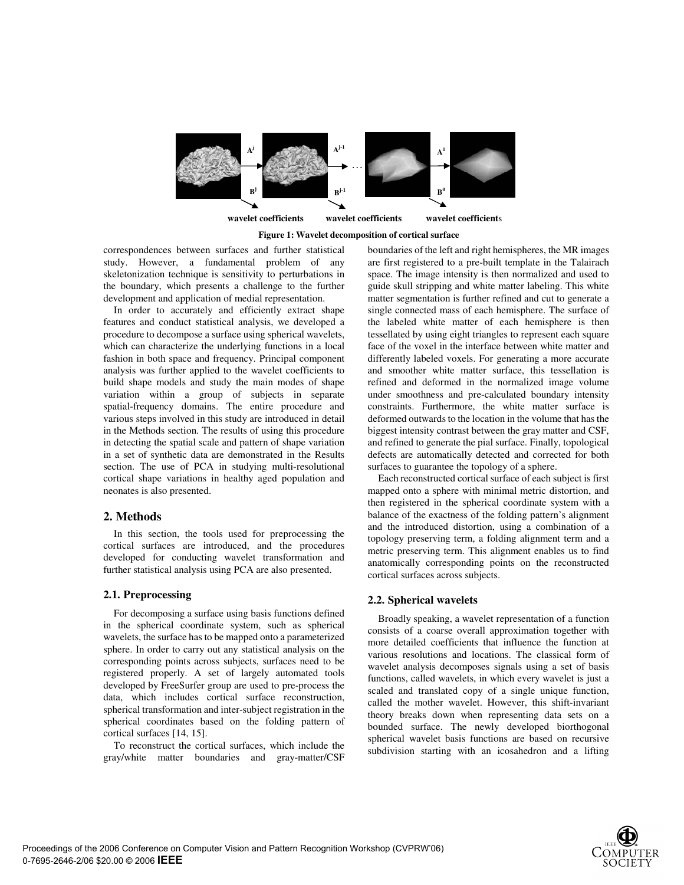

**Figure 1: Wavelet decomposition of cortical surface**

correspondences between surfaces and further statistical study. However, a fundamental problem of any skeletonization technique is sensitivity to perturbations in the boundary, which presents a challenge to the further development and application of medial representation.

In order to accurately and efficiently extract shape features and conduct statistical analysis, we developed a procedure to decompose a surface using spherical wavelets, which can characterize the underlying functions in a local fashion in both space and frequency. Principal component analysis was further applied to the wavelet coefficients to build shape models and study the main modes of shape variation within a group of subjects in separate spatial-frequency domains. The entire procedure and various steps involved in this study are introduced in detail in the Methods section. The results of using this procedure in detecting the spatial scale and pattern of shape variation in a set of synthetic data are demonstrated in the Results section. The use of PCA in studying multi-resolutional cortical shape variations in healthy aged population and neonates is also presented.

## **2. Methods**

In this section, the tools used for preprocessing the cortical surfaces are introduced, and the procedures developed for conducting wavelet transformation and further statistical analysis using PCA are also presented.

## **2.1. Preprocessing**

For decomposing a surface using basis functions defined in the spherical coordinate system, such as spherical wavelets, the surface has to be mapped onto a parameterized sphere. In order to carry out any statistical analysis on the corresponding points across subjects, surfaces need to be registered properly. A set of largely automated tools developed by FreeSurfer group are used to pre-process the data, which includes cortical surface reconstruction, spherical transformation and inter-subject registration in the spherical coordinates based on the folding pattern of cortical surfaces [14, 15].

To reconstruct the cortical surfaces, which include the gray/white matter boundaries and gray-matter/CSF

boundaries of the left and right hemispheres, the MR images are first registered to a pre-built template in the Talairach space. The image intensity is then normalized and used to guide skull stripping and white matter labeling. This white matter segmentation is further refined and cut to generate a single connected mass of each hemisphere. The surface of the labeled white matter of each hemisphere is then tessellated by using eight triangles to represent each square face of the voxel in the interface between white matter and differently labeled voxels. For generating a more accurate and smoother white matter surface, this tessellation is refined and deformed in the normalized image volume under smoothness and pre-calculated boundary intensity constraints. Furthermore, the white matter surface is deformed outwards to the location in the volume that has the biggest intensity contrast between the gray matter and CSF, and refined to generate the pial surface. Finally, topological defects are automatically detected and corrected for both surfaces to guarantee the topology of a sphere.

 Each reconstructed cortical surface of each subject is first mapped onto a sphere with minimal metric distortion, and then registered in the spherical coordinate system with a balance of the exactness of the folding pattern's alignment and the introduced distortion, using a combination of a topology preserving term, a folding alignment term and a metric preserving term. This alignment enables us to find anatomically corresponding points on the reconstructed cortical surfaces across subjects.

## **2.2. Spherical wavelets**

Broadly speaking, a wavelet representation of a function consists of a coarse overall approximation together with more detailed coefficients that influence the function at various resolutions and locations. The classical form of wavelet analysis decomposes signals using a set of basis functions, called wavelets, in which every wavelet is just a scaled and translated copy of a single unique function, called the mother wavelet. However, this shift-invariant theory breaks down when representing data sets on a bounded surface. The newly developed biorthogonal spherical wavelet basis functions are based on recursive subdivision starting with an icosahedron and a lifting

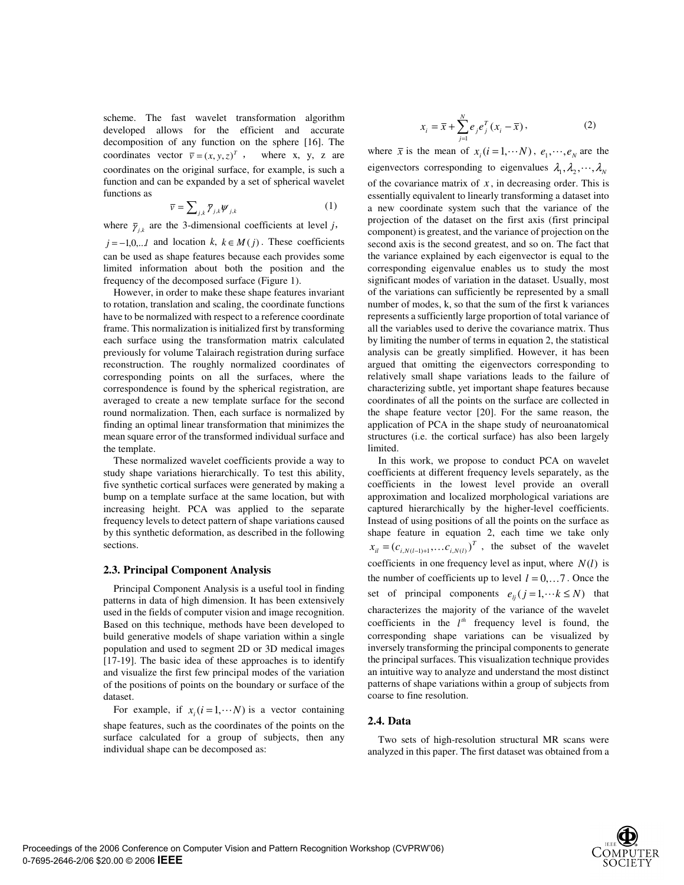scheme. The fast wavelet transformation algorithm developed allows for the efficient and accurate decomposition of any function on the sphere [16]. The coordinates vector  $\overline{v} = (x, y, z)^T$ , where x, y, z are coordinates on the original surface, for example, is such a function and can be expanded by a set of spherical wavelet functions as

$$
\overline{\nu} = \sum_{j,k} \overline{\gamma}_{j,k} \psi_{j,k} \tag{1}
$$

where  $\bar{\gamma}_{ik}$  are the 3-dimensional coefficients at level *j*,  $j = -1, 0, \ldots l$  and location  $k, k \in M(j)$ . These coefficients can be used as shape features because each provides some limited information about both the position and the frequency of the decomposed surface (Figure 1).

However, in order to make these shape features invariant to rotation, translation and scaling, the coordinate functions have to be normalized with respect to a reference coordinate frame. This normalization is initialized first by transforming each surface using the transformation matrix calculated previously for volume Talairach registration during surface reconstruction. The roughly normalized coordinates of corresponding points on all the surfaces, where the correspondence is found by the spherical registration, are averaged to create a new template surface for the second round normalization. Then, each surface is normalized by finding an optimal linear transformation that minimizes the mean square error of the transformed individual surface and the template.

These normalized wavelet coefficients provide a way to study shape variations hierarchically. To test this ability, five synthetic cortical surfaces were generated by making a bump on a template surface at the same location, but with increasing height. PCA was applied to the separate frequency levels to detect pattern of shape variations caused by this synthetic deformation, as described in the following sections.

### **2.3. Principal Component Analysis**

Principal Component Analysis is a useful tool in finding patterns in data of high dimension. It has been extensively used in the fields of computer vision and image recognition. Based on this technique, methods have been developed to build generative models of shape variation within a single population and used to segment 2D or 3D medical images [17-19]. The basic idea of these approaches is to identify and visualize the first few principal modes of the variation of the positions of points on the boundary or surface of the dataset.

For example, if  $x_i$  ( $i = 1, \dots N$ ) is a vector containing

shape features, such as the coordinates of the points on the surface calculated for a group of subjects, then any individual shape can be decomposed as:

$$
x_i = \bar{x} + \sum_{j=1}^{N} e_j e_j^T (x_i - \bar{x}),
$$
 (2)

where  $\bar{x}$  is the mean of  $x_i(i = 1, \cdots N)$ ,  $e_1, \cdots, e_N$  are the eigenvectors corresponding to eigenvalues  $\lambda_1, \lambda_2, \dots, \lambda_N$ of the covariance matrix of  $x$ , in decreasing order. This is essentially equivalent to linearly transforming a dataset into a new coordinate system such that the variance of the projection of the dataset on the first axis (first principal component) is greatest, and the variance of projection on the second axis is the second greatest, and so on. The fact that the variance explained by each eigenvector is equal to the corresponding eigenvalue enables us to study the most significant modes of variation in the dataset. Usually, most of the variations can sufficiently be represented by a small number of modes, k, so that the sum of the first k variances represents a sufficiently large proportion of total variance of all the variables used to derive the covariance matrix. Thus by limiting the number of terms in equation 2, the statistical analysis can be greatly simplified. However, it has been argued that omitting the eigenvectors corresponding to relatively small shape variations leads to the failure of characterizing subtle, yet important shape features because coordinates of all the points on the surface are collected in the shape feature vector [20]. For the same reason, the application of PCA in the shape study of neuroanatomical structures (i.e. the cortical surface) has also been largely limited.

 In this work, we propose to conduct PCA on wavelet coefficients at different frequency levels separately, as the coefficients in the lowest level provide an overall approximation and localized morphological variations are captured hierarchically by the higher-level coefficients. Instead of using positions of all the points on the surface as shape feature in equation 2, each time we take only  $x_{il} = (c_{i,N(l-1)+1}, \dots, c_{i,N(l)})^T$ , the subset of the wavelet coefficients in one frequency level as input, where  $N(l)$  is the number of coefficients up to level  $l = 0, \ldots, 7$ . Once the set of principal components  $e_{ij}$  ( $j = 1, \dots k \le N$ ) that characterizes the majority of the variance of the wavelet coefficients in the  $l^h$  frequency level is found, the corresponding shape variations can be visualized by inversely transforming the principal components to generate the principal surfaces. This visualization technique provides an intuitive way to analyze and understand the most distinct patterns of shape variations within a group of subjects from coarse to fine resolution.

### **2.4. Data**

Two sets of high-resolution structural MR scans were analyzed in this paper. The first dataset was obtained from a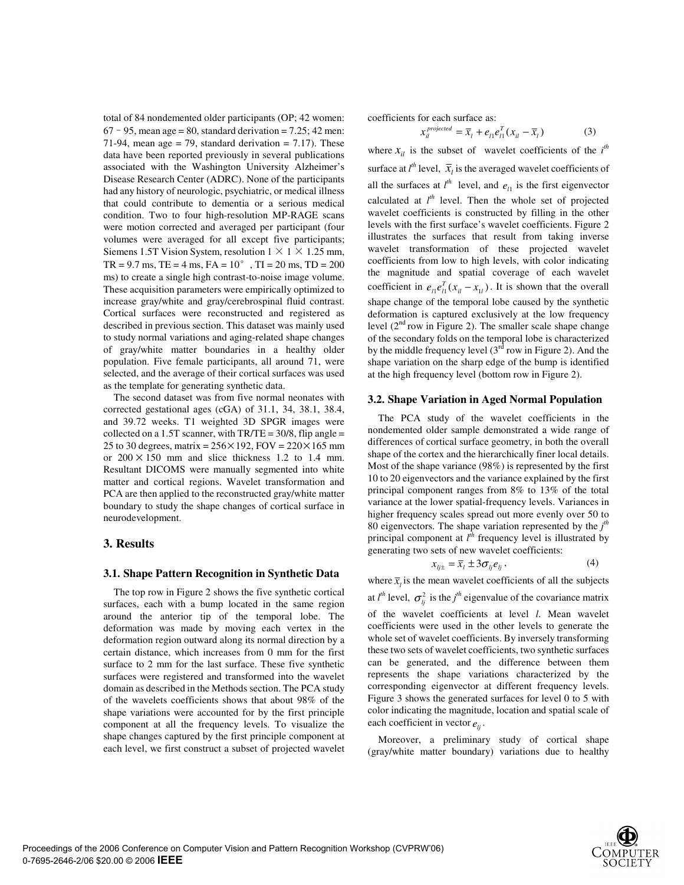total of 84 nondemented older participants (OP; 42 women:  $67 - 95$ , mean age = 80, standard derivation = 7.25; 42 men: 71-94, mean age = 79, standard derivation = 7.17). These data have been reported previously in several publications associated with the Washington University Alzheimer's Disease Research Center (ADRC). None of the participants had any history of neurologic, psychiatric, or medical illness that could contribute to dementia or a serious medical condition. Two to four high-resolution MP-RAGE scans were motion corrected and averaged per participant (four volumes were averaged for all except five participants; Siemens 1.5T Vision System, resolution  $1 \times 1 \times 1.25$  mm,  $TR = 9.7$  ms,  $TE = 4$  ms,  $FA = 10^{\circ}$ ,  $TI = 20$  ms,  $TD = 200$ ms) to create a single high contrast-to-noise image volume. These acquisition parameters were empirically optimized to increase gray/white and gray/cerebrospinal fluid contrast. Cortical surfaces were reconstructed and registered as described in previous section. This dataset was mainly used to study normal variations and aging-related shape changes of gray/white matter boundaries in a healthy older population. Five female participants, all around 71, were selected, and the average of their cortical surfaces was used as the template for generating synthetic data.

The second dataset was from five normal neonates with corrected gestational ages (cGA) of 31.1, 34, 38.1, 38.4, and 39.72 weeks. T1 weighted 3D SPGR images were collected on a 1.5T scanner, with  $TR/TE = 30/8$ , flip angle = 25 to 30 degrees, matrix =  $256 \times 192$ , FOV =  $220 \times 165$  mm or  $200 \times 150$  mm and slice thickness 1.2 to 1.4 mm. Resultant DICOMS were manually segmented into white matter and cortical regions. Wavelet transformation and PCA are then applied to the reconstructed gray/white matter boundary to study the shape changes of cortical surface in neurodevelopment.

## **3. Results**

### **3.1. Shape Pattern Recognition in Synthetic Data**

The top row in Figure 2 shows the five synthetic cortical surfaces, each with a bump located in the same region around the anterior tip of the temporal lobe. The deformation was made by moving each vertex in the deformation region outward along its normal direction by a certain distance, which increases from 0 mm for the first surface to 2 mm for the last surface. These five synthetic surfaces were registered and transformed into the wavelet domain as described in the Methods section. The PCA study of the wavelets coefficients shows that about 98% of the shape variations were accounted for by the first principle component at all the frequency levels. To visualize the shape changes captured by the first principle component at each level, we first construct a subset of projected wavelet coefficients for each surface as:

$$
x_{il}^{projected} = \overline{x}_l + e_{l1} e_{l1}^T (x_{il} - \overline{x}_l)
$$
 (3)

where  $x_{il}$  is the subset of wavelet coefficients of the  $i^{th}$ surface at  $l^{th}$  level,  $\bar{x}_l$  is the averaged wavelet coefficients of all the surfaces at  $l^{th}$  level, and  $e_{l1}$  is the first eigenvector calculated at  $l^{th}$  level. Then the whole set of projected wavelet coefficients is constructed by filling in the other levels with the first surface's wavelet coefficients. Figure 2 illustrates the surfaces that result from taking inverse wavelet transformation of these projected wavelet coefficients from low to high levels, with color indicating the magnitude and spatial coverage of each wavelet coefficient in  $e_{\mu}e_{\mu}^{T}(x_{\mu} - x_{\mu})$ . It is shown that the overall shape change of the temporal lobe caused by the synthetic deformation is captured exclusively at the low frequency level  $(2^{nd}$  row in Figure 2). The smaller scale shape change of the secondary folds on the temporal lobe is characterized by the middle frequency level  $(3<sup>rd</sup>$  row in Figure 2). And the shape variation on the sharp edge of the bump is identified at the high frequency level (bottom row in Figure 2).

### **3.2. Shape Variation in Aged Normal Population**

The PCA study of the wavelet coefficients in the nondemented older sample demonstrated a wide range of differences of cortical surface geometry, in both the overall shape of the cortex and the hierarchically finer local details. Most of the shape variance (98%) is represented by the first 10 to 20 eigenvectors and the variance explained by the first principal component ranges from 8% to 13% of the total variance at the lower spatial-frequency levels. Variances in higher frequency scales spread out more evenly over 50 to 80 eigenvectors. The shape variation represented by the *j th* principal component at  $l^{\bar{t}h}$  frequency level is illustrated by generating two sets of new wavelet coefficients:

$$
x_{ij\pm} = \overline{x}_i \pm 3\sigma_{ij} e_{ij}, \qquad (4)
$$

where  $\bar{x}_i$  is the mean wavelet coefficients of all the subjects at  $l^{th}$  level,  $\sigma_{lj}^2$  is the *j*<sup>th</sup> eigenvalue of the covariance matrix

of the wavelet coefficients at level *l*. Mean wavelet coefficients were used in the other levels to generate the whole set of wavelet coefficients. By inversely transforming these two sets of wavelet coefficients, two synthetic surfaces can be generated, and the difference between them represents the shape variations characterized by the corresponding eigenvector at different frequency levels. Figure 3 shows the generated surfaces for level 0 to 5 with color indicating the magnitude, location and spatial scale of each coefficient in vector  $e_{ii}$ .

Moreover, a preliminary study of cortical shape (gray/white matter boundary) variations due to healthy

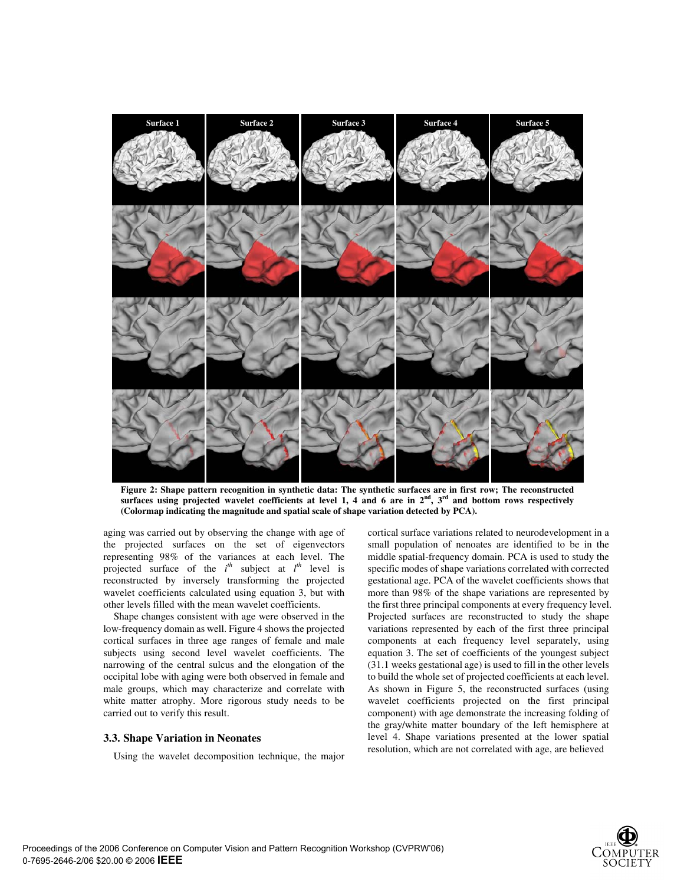

**Figure 2: Shape pattern recognition in synthetic data: The synthetic surfaces are in first row; The reconstructed surfaces using projected wavelet coefficients at level 1, 4 and 6 are in 2nd, 3rd and bottom rows respectively (Colormap indicating the magnitude and spatial scale of shape variation detected by PCA).** 

aging was carried out by observing the change with age of the projected surfaces on the set of eigenvectors representing 98% of the variances at each level. The projected surface of the  $i^{th}$  subject at  $l^{th}$  level is reconstructed by inversely transforming the projected wavelet coefficients calculated using equation 3, but with other levels filled with the mean wavelet coefficients.

Shape changes consistent with age were observed in the low-frequency domain as well. Figure 4 shows the projected cortical surfaces in three age ranges of female and male subjects using second level wavelet coefficients. The narrowing of the central sulcus and the elongation of the occipital lobe with aging were both observed in female and male groups, which may characterize and correlate with white matter atrophy. More rigorous study needs to be carried out to verify this result.

### **3.3. Shape Variation in Neonates**

Using the wavelet decomposition technique, the major

cortical surface variations related to neurodevelopment in a small population of nenoates are identified to be in the middle spatial-frequency domain. PCA is used to study the specific modes of shape variations correlated with corrected gestational age. PCA of the wavelet coefficients shows that more than 98% of the shape variations are represented by the first three principal components at every frequency level. Projected surfaces are reconstructed to study the shape variations represented by each of the first three principal components at each frequency level separately, using equation 3. The set of coefficients of the youngest subject (31.1 weeks gestational age) is used to fill in the other levels to build the whole set of projected coefficients at each level. As shown in Figure 5, the reconstructed surfaces (using wavelet coefficients projected on the first principal component) with age demonstrate the increasing folding of the gray/white matter boundary of the left hemisphere at level 4. Shape variations presented at the lower spatial resolution, which are not correlated with age, are believed

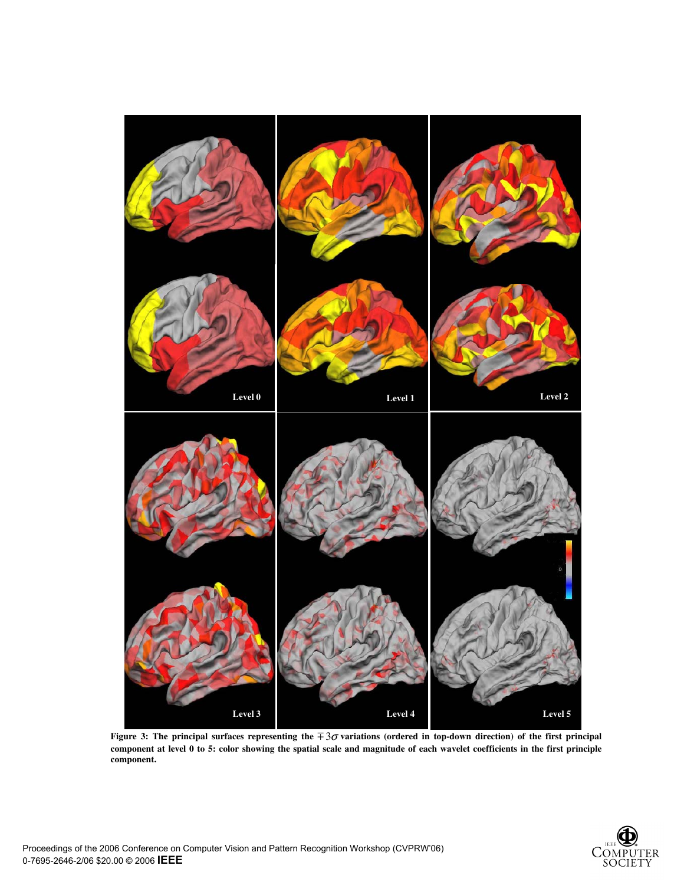

**Figure 3: The principal surfaces representing the**  $\pm 3\sigma$  **variations (ordered in top-down direction) of the first principal component at level 0 to 5: color showing the spatial scale and magnitude of each wavelet coefficients in the first principle component.**

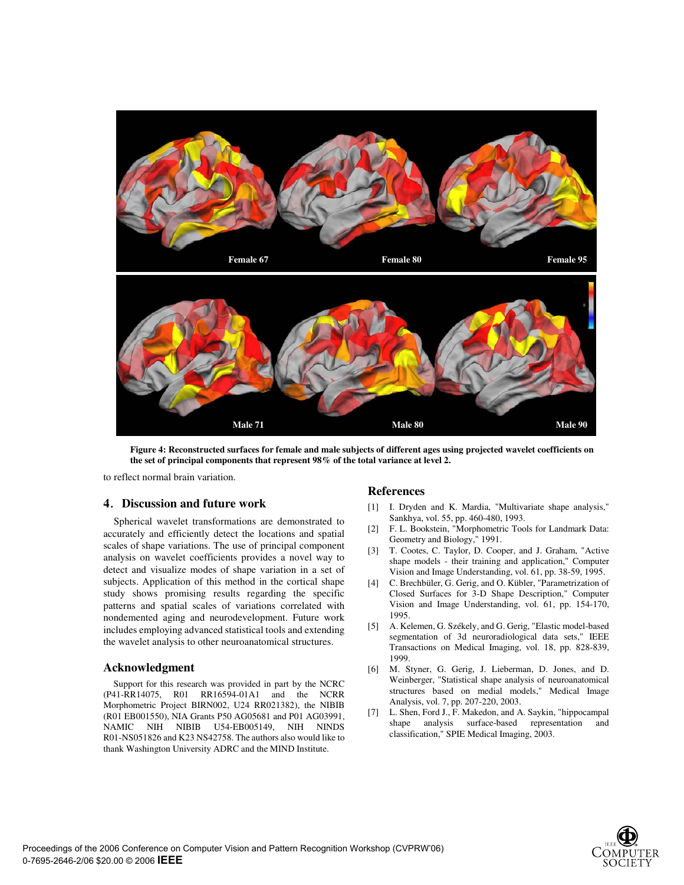

**Figure 4: Reconstructed surfaces for female and male subjects of different ages using projected wavelet coefficients on the set of principal components that represent 98% of the total variance at level 2.** 

to reflect normal brain variation.

## **4**ˊ**Discussion and future work**

Spherical wavelet transformations are demonstrated to accurately and efficiently detect the locations and spatial scales of shape variations. The use of principal component analysis on wavelet coefficients provides a novel way to detect and visualize modes of shape variation in a set of subjects. Application of this method in the cortical shape study shows promising results regarding the specific patterns and spatial scales of variations correlated with nondemented aging and neurodevelopment. Future work includes employing advanced statistical tools and extending the wavelet analysis to other neuroanatomical structures.

### **Acknowledgment**

Support for this research was provided in part by the NCRC (P41-RR14075, R01 RR16594-01A1 and the NCRR Morphometric Project BIRN002, U24 RR021382), the NIBIB (R01 EB001550), NIA Grants P50 AG05681 and P01 AG03991, NAMIC NIH NIBIB U54-EB005149, NIH NINDS R01-NS051826 and K23 NS42758. The authors also would like to thank Washington University ADRC and the MIND Institute.

### **References**

- [1] I. Dryden and K. Mardia, "Multivariate shape analysis," Sankhya, vol. 55, pp. 460-480, 1993.
- [2] F. L. Bookstein, "Morphometric Tools for Landmark Data: Geometry and Biology," 1991.
- [3] T. Cootes, C. Taylor, D. Cooper, and J. Graham, "Active shape models - their training and application," Computer Vision and Image Understanding, vol. 61, pp. 38-59, 1995.
- [4] C. Brechbüler, G. Gerig, and O. Kübler, "Parametrization of Closed Surfaces for 3-D Shape Description," Computer Vision and Image Understanding, vol. 61, pp. 154-170, 1995.
- [5] A. Kelemen, G. Székely, and G. Gerig, "Elastic model-based segmentation of 3d neuroradiological data sets," IEEE Transactions on Medical Imaging, vol. 18, pp. 828-839, 1999.
- [6] M. Styner, G. Gerig, J. Lieberman, D. Jones, and D. Weinberger, "Statistical shape analysis of neuroanatomical structures based on medial models," Medical Image Analysis, vol. 7, pp. 207-220, 2003.
- [7] L. Shen, Ford J., F. Makedon, and A. Saykin, "hippocampal shape analysis surface-based representation and classification," SPIE Medical Imaging, 2003.